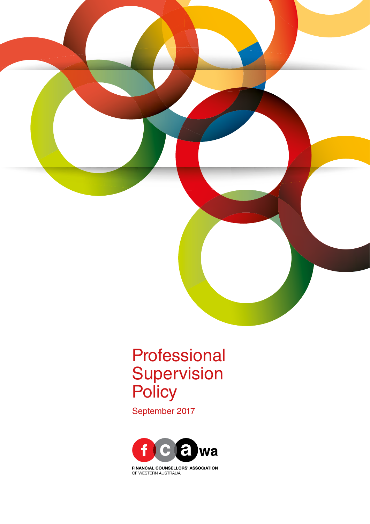

# Professional **Supervision Policy**

September 2017



**FINANCIAL COUNSELLORS' ASSOCIATION** OF WESTERN AUSTRALIA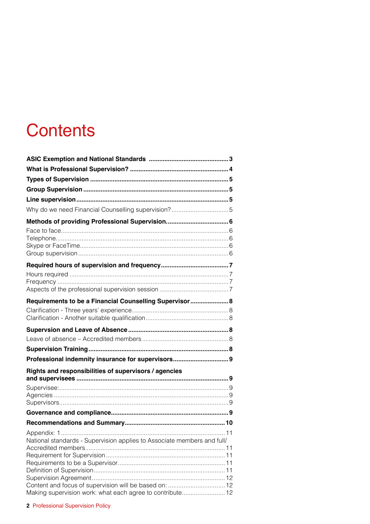# **Contents**

| Why do we need Financial Counselling supervision?5<br>Requirements to be a Financial Counselling Supervisor 8<br>Professional indemnity insurance for supervisors 9<br>National standards - Supervision applies to Associate members and full/ |                                                       |  |
|------------------------------------------------------------------------------------------------------------------------------------------------------------------------------------------------------------------------------------------------|-------------------------------------------------------|--|
|                                                                                                                                                                                                                                                |                                                       |  |
|                                                                                                                                                                                                                                                |                                                       |  |
|                                                                                                                                                                                                                                                |                                                       |  |
|                                                                                                                                                                                                                                                |                                                       |  |
|                                                                                                                                                                                                                                                |                                                       |  |
|                                                                                                                                                                                                                                                |                                                       |  |
|                                                                                                                                                                                                                                                |                                                       |  |
|                                                                                                                                                                                                                                                |                                                       |  |
|                                                                                                                                                                                                                                                |                                                       |  |
|                                                                                                                                                                                                                                                |                                                       |  |
|                                                                                                                                                                                                                                                |                                                       |  |
|                                                                                                                                                                                                                                                |                                                       |  |
|                                                                                                                                                                                                                                                |                                                       |  |
|                                                                                                                                                                                                                                                |                                                       |  |
|                                                                                                                                                                                                                                                |                                                       |  |
|                                                                                                                                                                                                                                                |                                                       |  |
|                                                                                                                                                                                                                                                |                                                       |  |
|                                                                                                                                                                                                                                                |                                                       |  |
|                                                                                                                                                                                                                                                |                                                       |  |
|                                                                                                                                                                                                                                                |                                                       |  |
|                                                                                                                                                                                                                                                | Rights and responsibilities of supervisors / agencies |  |
|                                                                                                                                                                                                                                                |                                                       |  |
|                                                                                                                                                                                                                                                |                                                       |  |
|                                                                                                                                                                                                                                                |                                                       |  |
|                                                                                                                                                                                                                                                |                                                       |  |
|                                                                                                                                                                                                                                                |                                                       |  |
|                                                                                                                                                                                                                                                |                                                       |  |
|                                                                                                                                                                                                                                                |                                                       |  |
|                                                                                                                                                                                                                                                |                                                       |  |
|                                                                                                                                                                                                                                                |                                                       |  |
|                                                                                                                                                                                                                                                |                                                       |  |
|                                                                                                                                                                                                                                                |                                                       |  |
| Making supervision work: what each agree to contribute 12                                                                                                                                                                                      |                                                       |  |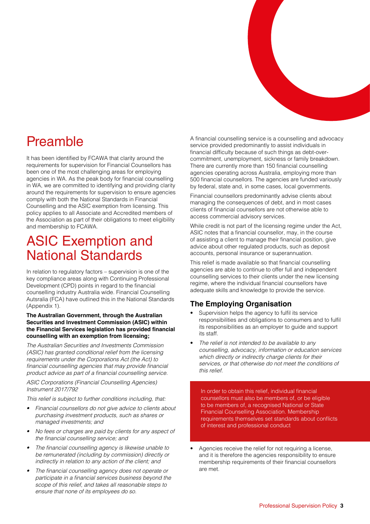## Preamble

It has been identified by FCAWA that clarity around the requirements for supervision for Financial Counsellors has been one of the most challenging areas for employing agencies in WA. As the peak body for financial counselling in WA, we are committed to identifying and providing clarity around the requirements for supervision to ensure agencies comply with both the National Standards in Financial Counselling and the ASIC exemption from licensing. This policy applies to all Associate and Accredited members of the Association as part of their obligations to meet eligibility and membership to FCAWA.

## ASIC Exemption and National Standards

In relation to regulatory factors – supervision is one of the key compliance areas along with Continuing Professional Development (CPD) points in regard to the financial counselling industry Australia wide. Financial Counselling Autsralia (FCA) have outlined this in the National Standards (Appendix 1).

#### **The Australian Government, through the Australian Securities and Investment Commission (ASIC) within the Financial Services legislation has provided financial counselling with an exemption from licensing;**

*The Australian Securities and Investments Commission (ASIC) has granted conditional relief from the licensing requirements under the Corporations Act (the Act) to*  financial counselling agencies that may provide financial product advice as part of a financial counselling service.

#### *ASIC Corporations (Financial Counselling Agencies) Instrument 2017/792*

*This relief is subject to further conditions including, that:*

- *• Financial counsellors do not give advice to clients about purchasing investment products, such as shares or managed investments; and*
- No fees or charges are paid by clients for any aspect of the financial counselling service; and
- The financial counselling agency is likewise unable to be remunerated (including by commission) directly or indirectly in relation to any action of the client; and
- The financial counselling agency does not operate or participate in a financial services business beyond the scope of this relief, and takes all reasonable steps to ensure that none of its employees do so.

A financial counselling service is a counselling and advocacy service provided predominantly to assist individuals in financial difficulty because of such things as debt-overcommitment, unemployment, sickness or family breakdown. There are currently more than 150 financial counselling agencies operating across Australia, employing more than 500 financial counsellors. The agencies are funded variously by federal, state and, in some cases, local governments.

Financial counsellors predominantly advise clients about managing the consequences of debt, and in most cases clients of financial counsellors are not otherwise able to access commercial advisory services.

While credit is not part of the licensing regime under the Act, ASIC notes that a financial counsellor, may, in the course of assisting a client to manage their financial position, give advice about other regulated products, such as deposit accounts, personal insurance or superannuation.

This relief is made available so that financial counselling agencies are able to continue to offer full and independent counselling services to their clients under the new licensing regime, where the individual financial counsellors have adequate skills and knowledge to provide the service.

### **The Employing Organisation**

- Supervision helps the agency to fulfil its service responsibilities and obligations to consumers and to fulfil its responsibilities as an employer to guide and support its staff.
- The relief is not intended to be available to any counselling, advocacy, information or education services which directly or indirectly charge clients for their services, or that otherwise do not meet the conditions of this relief.

In order to obtain this relief, individual financial counsellors must also be members of, or be eligible to be members of, a recognised National or State Financial Counselling Association. Membership requirements themselves set standards about conflicts of interest and professional conduct

• Agencies receive the relief for not requiring a license, and it is therefore the agencies responsibility to ensure membership requirements of their financial counsellors are met.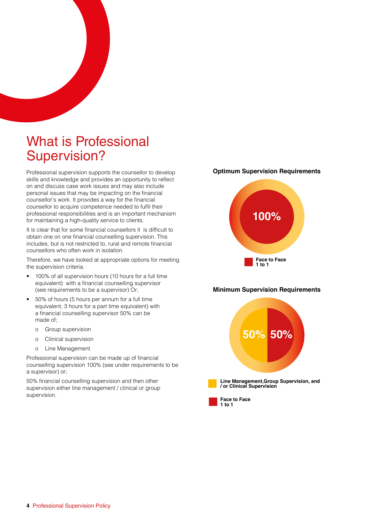## What is Professional Supervision?

Professional supervision supports the counsellor to develop skills and knowledge and provides an opportunity to reflect on and discuss case work issues and may also include personal issues that may be impacting on the financial counsellor's work. It provides a way for the financial counsellor to acquire competence needed to fulfil their professional responsibilities and is an important mechanism for maintaining a high-quality service to clients.

It is clear that for some financial counsellors it is difficult to obtain one on one financial counselling supervision. This includes, but is not restricted to, rural and remote financial counsellors who often work in isolation.

Therefore, we have looked at appropriate options for meeting the supervision criteria.

- 100% of all supervision hours (10 hours for a full time equivalent) with a financial counselling supervisor (see requirements to be a supervisor) Or;
- 50% of hours (5 hours per annum for a full time equivalent, 3 hours for a part time equivalent) with a financial counselling supervisor 50% can be made of;
	- o Group supervision
	- o Clinical supervision
	- o Line Management

Professional supervision can be made up of financial counselling supervision 100% (see under requirements to be a supervisor) or;

50% financial counselling supervision and then other supervision either line management / clinical or group supervision.

#### **Optimum Supervision Requirements**



#### **Minimum Supervision Requirements**



**Face to Face 1 to 1**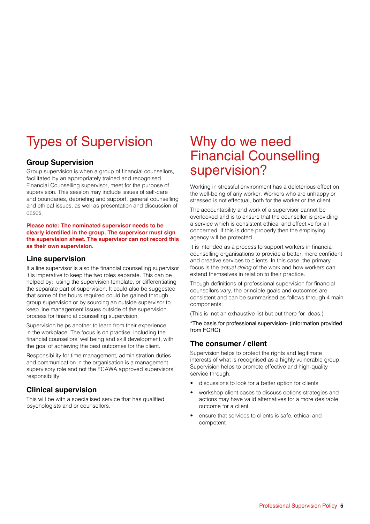# Types of Supervision

### **Group Supervision**

Group supervision is when a group of financial counsellors, facilitated by an appropriately trained and recognised Financial Counselling supervisor, meet for the purpose of supervision. This session may include issues of self-care and boundaries, debriefing and support, general counselling and ethical issues, as well as presentation and discussion of cases.

#### **Please note: The nominated supervisor needs to be clearly identified in the group. The supervisor must sign the supervision sheet. The supervisor can not record this as their own supervision.**

### **Line supervision**

If a line supervisor is also the financial counselling supervisor it is imperative to keep the two roles separate. This can be helped by: using the supervision template, or differentiating the separate part of supervision. It could also be suggested that some of the hours required could be gained through group supervision or by sourcing an outside supervisor to keep line management issues outside of the supervision process for financial counselling supervision.

Supervision helps another to learn from their experience in the workplace. The focus is on practise, including the financial counsellors' wellbeing and skill development, with the goal of achieving the best outcomes for the client.

Responsibility for time management, administration duties and communication in the organisation is a management supervisory role and not the FCAWA approved supervisors' responsibility.

### **Clinical supervision**

This will be with a specialised service that has qualified psychologists and or counsellors.

## Why do we need Financial Counselling supervision?

Working in stressful environment has a deleterious effect on the well-being of any worker. Workers who are unhappy or stressed is not effectual, both for the worker or the client.

The accountability and work of a supervisor cannot be overlooked and is to ensure that the counsellor is providing a service which is consistent ethical and effective for all concerned. If this is done properly then the employing agency will be protected.

It is intended as a process to support workers in financial counselling organisations to provide a better, more confident and creative services to clients. In this case, the primary focus is the *actual doing* of the work and how workers can extend themselves in relation to their practice.

Though definitions of professional supervision for financial counsellors vary, the principle goals and outcomes are consistent and can be summarised as follows through 4 main components:

(This is not an exhaustive list but put there for ideas.)

\*The basis for professional supervision- (information provided from FCRC)

### **The consumer / client**

Supervision helps to protect the rights and legitimate interests of what is recognised as a highly vulnerable group. Supervision helps to promote effective and high-quality service through;

- discussions to look for a better option for clients
- workshop client cases to discuss options strategies and actions may have valid alternatives for a more desirable outcome for a client.
- ensure that services to clients is safe, ethical and competent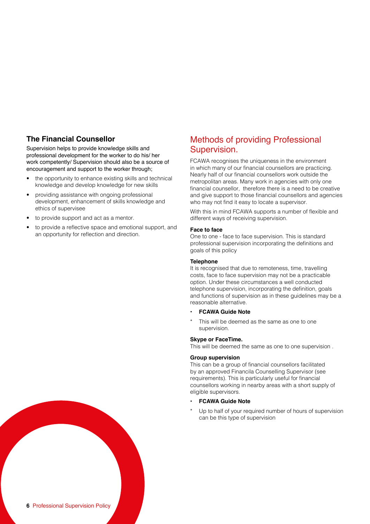### **The Financial Counsellor**

Supervision helps to provide knowledge skills and professional development for the worker to do his/ her work competently/ Supervision should also be a source of encouragement and support to the worker through;

- the opportunity to enhance existing skills and technical knowledge and develop knowledge for new skills
- providing assistance with ongoing professional development, enhancement of skills knowledge and ethics of supervisee
- to provide support and act as a mentor.
- to provide a reflective space and emotional support, and an opportunity for reflection and direction.

### Methods of providing Professional Supervision.

FCAWA recognises the uniqueness in the environment in which many of our financial counsellors are practicing. Nearly half of our financial counsellors work outside the metropolitan areas. Many work in agencies with only one financial counsellor, therefore there is a need to be creative and give support to those financial counsellors and agencies who may not find it easy to locate a supervisor.

With this in mind FCAWA supports a number of flexible and different ways of receiving supervision.

#### **Face to face**

One to one - face to face supervision. This is standard professional supervision incorporating the definitions and goals of this policy

#### **Telephone**

It is recognised that due to remoteness, time, travelling costs, face to face supervision may not be a practicable option. Under these circumstances a well conducted telephone supervision, incorporating the definition, goals and functions of supervision as in these guidelines may be a reasonable alternative.

- **• FCAWA Guide Note**
- This will be deemed as the same as one to one supervision.

#### **Skype or FaceTime.**

This will be deemed the same as one to one supervision .

#### **Group supervision**

This can be a group of financial counsellors facilitated by an approved Financila Counselling Supervisor (see requirements). This is particularly useful for financial counsellors working in nearby areas with a short supply of eligible supervisors.

#### **• FCAWA Guide Note**

Up to half of your required number of hours of supervision can be this type of supervision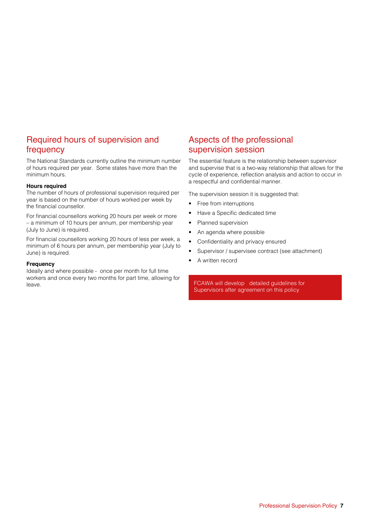## Required hours of supervision and frequency

The National Standards currently outline the minimum number of hours required per year. Some states have more than the minimum hours.

#### **Hours required**

The number of hours of professional supervision required per year is based on the number of hours worked per week by the financial counsellor.

For financial counsellors working 20 hours per week or more – a minimum of 10 hours per annum, per membership year (July to June) is required.

For financial counsellors working 20 hours of less per week, a minimum of 6 hours per annum, per membership year (July to June) is required.

#### **Frequency**

Ideally and where possible - once per month for full time workers and once every two months for part time, allowing for leave.

### Aspects of the professional supervision session

The essential feature is the relationship between supervisor and supervise that is a two-way relationship that allows for the cycle of experience, reflection analysis and action to occur in a respectful and confidential manner.

The supervision session it is suggested that:

- Free from interruptions
- Have a Specific dedicated time
- Planned supervision
- An agenda where possible
- Confidentiality and privacy ensured
- Supervisor / supervisee contract (see attachment)
- A written record

FCAWA will develop detailed guidelines for Supervisors after agreement on this policy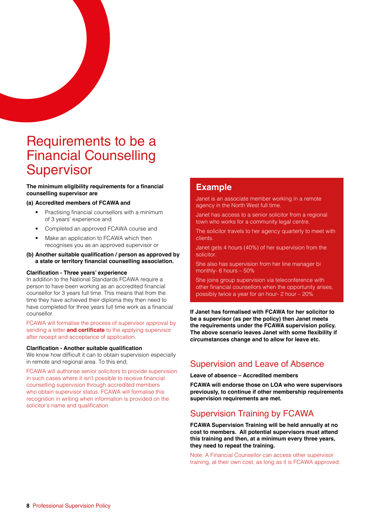## Requirements to be a Financial Counselling **Supervisor**

#### **The minimum eligibility requirements for a financial counselling supervisor are**

#### **(a) Accredited members of FCAWA and**

- Practising financial counsellors with a minimum of 3 years' experience and
- Completed an approved FCAWA course and
- Make an application to FCAWA which then recognises you as an approved supervisor or

#### **(b) Another suitable qualification / person as approved by a state or territory financial counselling association.**

#### **Clarification - Three years' experience**

In addition to the National Standards FCAWA require a person to have been working as an accredited financial counsellor for 3 years full time. This means that from the time they have achieved their diploma they then need to have completed for three years full time work as a financial counsellor.

FCAWA will formalise the process of supervisor approval by sending a letter **and certificate** to the applying supervisor after receipt and acceptance of application.

#### **Clarification - Another suitable qualification**

We know how difficult it can to obtain supervision especially in remote and regional area. To this end;

FCAWA will authorise senior solicitors to provide supervision in such cases where it isn't possible to receive financial counselling supervision through accredited members who obtain supervisor status. FCAWA will formalise this recognition in writing when information is provided on the solicitor's name and qualification.

### **Example**

Janet is an associate member working in a remote agency in the North West full time.

Janet has access to a senior solicitor from a regional town who works for a community legal centre.

The solicitor travels to her agency quarterly to meet with clients.

Janet gets 4 hours (40%) of her supervision from the solicitor.

She also has supervision from her line manager bi monthly- 6 hours – 50%

She joins group supervision via teleconference with other financial counsellors when the opportunity arises, possibly twice a year for an hour- 2 hour – 20%

**If Janet has formalised with FCAWA for her solicitor to be a supervisor (as per the policy) then Janet meets the requirements under the FCAWA supervision policy. The above scenario leaves Janet with some flexibility if circumstances change and to allow for leave etc.**

## Supervision and Leave of Absence

**Leave of absence – Accredited members**

**FCAWA will endorse those on LOA who were supervisors previously, to continue if other membership requirements supervision requirements are met.**

## Supervision Training by FCAWA

**FCAWA Supervision Training will be held annually at no cost to members. All potential supervisors must attend this training and then, at a minimum every three years, they need to repeat the training.**

Note: A Financial Counsellor can access other supervisor training, at their own cost, as long as it is FCAWA approved.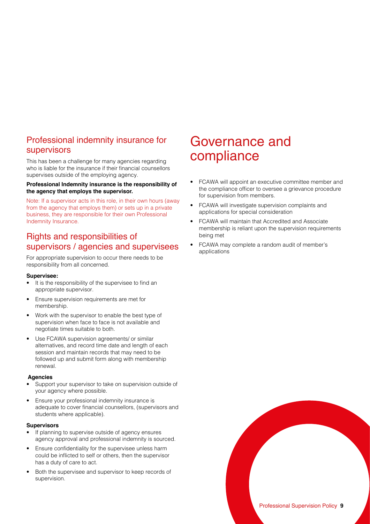### Professional indemnity insurance for supervisors

This has been a challenge for many agencies regarding who is liable for the insurance if their financial counsellors supervises outside of the employing agency.

#### **Professional Indemnity insurance is the responsibility of the agency that employs the supervisor.**

Note: If a supervisor acts in this role, in their own hours (away from the agency that employs them) or sets up in a private business, they are responsible for their own Professional Indemnity Insurance.

## Rights and responsibilities of supervisors / agencies and supervisees

For appropriate supervision to occur there needs to be responsibility from all concerned.

#### **Supervisee:**

- It is the responsibility of the supervisee to find an appropriate supervisor.
- Ensure supervision requirements are met for membership.
- Work with the supervisor to enable the best type of supervision when face to face is not available and negotiate times suitable to both.
- Use FCAWA supervision agreements/ or similar alternatives, and record time date and length of each session and maintain records that may need to be followed up and submit form along with membership renewal.

#### **Agencies**

- Support your supervisor to take on supervision outside of your agency where possible.
- Ensure your professional indemnity insurance is adequate to cover financial counsellors, (supervisors and students where applicable).

#### **Supervisors**

- If planning to supervise outside of agency ensures agency approval and professional indemnity is sourced.
- Ensure confidentiality for the supervisee unless harm could be inflicted to self or others, then the supervisor has a duty of care to act.
- Both the supervisee and supervisor to keep records of supervision.

## Governance and compliance

- FCAWA will appoint an executive committee member and the compliance officer to oversee a grievance procedure for supervision from members.
- FCAWA will investigate supervision complaints and applications for special consideration
- FCAWA will maintain that Accredited and Associate membership is reliant upon the supervision requirements being met
- FCAWA may complete a random audit of member's applications

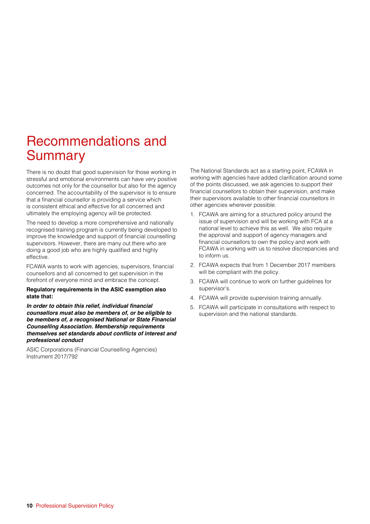## Recommendations and Summary

There is no doubt that good supervision for those working in stressful and emotional environments can have very positive outcomes not only for the counsellor but also for the agency concerned. The accountability of the supervisor is to ensure that a financial counsellor is providing a service which is consistent ethical and effective for all concerned and ultimately the employing agency will be protected.

The need to develop a more comprehensive and nationally recognised training program is currently being developed to improve the knowledge and support of financial counselling supervisors. However, there are many out there who are doing a good job who are highly qualified and highly effective.

FCAWA wants to work with agencies, supervisors, financial counsellors and all concerned to get supervision in the forefront of everyone mind and embrace the concept.

#### **Regulatory requirements in the ASIC exemption also state that:**

**In order to obtain this relief, individual financial counsellors must also be members of, or be eligible to be members of, a recognised National or State Financial Counselling Association. Membership requirements themselves set standards about conflicts of interest and professional conduct**

ASIC Corporations (Financial Counselling Agencies) Instrument 2017/792

The National Standards act as a starting point, FCAWA in working with agencies have added clarification around some of the points discussed, we ask agencies to support their financial counsellors to obtain their supervision, and make their supervisors available to other financial counsellors in other agencies wherever possible.

- 1. FCAWA are aiming for a structured policy around the issue of supervision and will be working with FCA at a national level to achieve this as well. We also require the approval and support of agency managers and financial counsellors to own the policy and work with FCAWA in working with us to resolve discrepancies and to inform us.
- 2. FCAWA expects that from 1 December 2017 members will be compliant with the policy.
- 3. FCAWA will continue to work on further guidelines for supervisor's.
- 4. FCAWA will provide supervision training annually.
- 5. FCAWA will participate in consultations with respect to supervision and the national standards.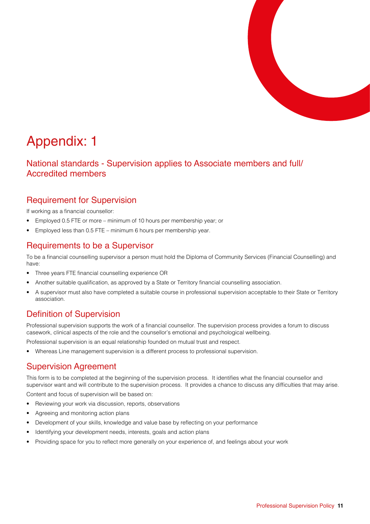

## Appendix: 1

National standards - Supervision applies to Associate members and full/ Accredited members

## Requirement for Supervision

If working as a financial counsellor:

- Employed 0.5 FTE or more minimum of 10 hours per membership year; or
- Employed less than 0.5 FTE minimum 6 hours per membership year.

## Requirements to be a Supervisor

To be a financial counselling supervisor a person must hold the Diploma of Community Services (Financial Counselling) and have:

- Three years FTE financial counselling experience OR
- Another suitable qualification, as approved by a State or Territory financial counselling association.
- A supervisor must also have completed a suitable course in professional supervision acceptable to their State or Territory association.

## Definition of Supervision

Professional supervision supports the work of a financial counsellor. The supervision process provides a forum to discuss casework, clinical aspects of the role and the counsellor's emotional and psychological wellbeing.

Professional supervision is an equal relationship founded on mutual trust and respect.

• Whereas Line management supervision is a different process to professional supervision.

## Supervision Agreement

This form is to be completed at the beginning of the supervision process. It identifies what the financial counsellor and supervisor want and will contribute to the supervision process. It provides a chance to discuss any difficulties that may arise.

Content and focus of supervision will be based on:

- Reviewing your work via discussion, reports, observations
- Agreeing and monitoring action plans
- Development of your skills, knowledge and value base by reflecting on your performance
- Identifying your development needs, interests, goals and action plans
- Providing space for you to reflect more generally on your experience of, and feelings about your work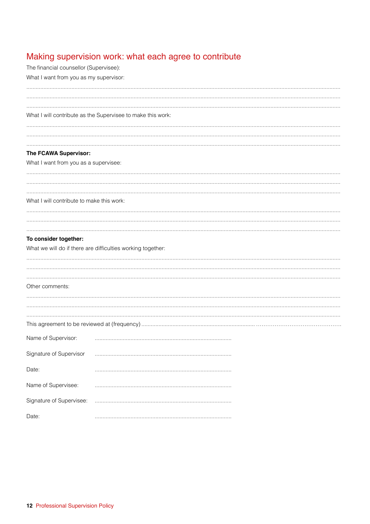## Making supervision work: what each agree to contribute

| The financial counsellor (Supervisee):    |                                                             |
|-------------------------------------------|-------------------------------------------------------------|
| What I want from you as my supervisor:    |                                                             |
|                                           |                                                             |
|                                           |                                                             |
|                                           | What I will contribute as the Supervisee to make this work: |
|                                           |                                                             |
|                                           |                                                             |
| The FCAWA Supervisor:                     |                                                             |
| What I want from you as a supervisee:     |                                                             |
|                                           |                                                             |
|                                           |                                                             |
| What I will contribute to make this work: |                                                             |
|                                           |                                                             |
|                                           |                                                             |
| To consider together:                     |                                                             |
|                                           | What we will do if there are difficulties working together: |
|                                           |                                                             |
|                                           |                                                             |
| Other comments:                           |                                                             |
|                                           |                                                             |
|                                           |                                                             |
|                                           |                                                             |
|                                           |                                                             |
| Name of Supervisor:                       |                                                             |
| Signature of Supervisor                   |                                                             |
| Date:                                     |                                                             |
| Name of Supervisee:                       |                                                             |
| Signature of Supervisee:                  |                                                             |
| Date:                                     |                                                             |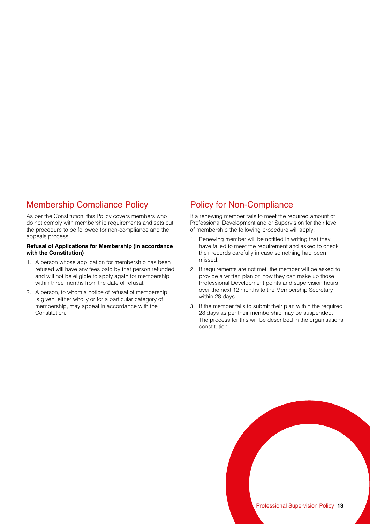## Membership Compliance Policy

As per the Constitution, this Policy covers members who do not comply with membership requirements and sets out the procedure to be followed for non-compliance and the appeals process.

#### **Refusal of Applications for Membership (in accordance with the Constitution)**

- 1. A person whose application for membership has been refused will have any fees paid by that person refunded and will not be eligible to apply again for membership within three months from the date of refusal.
- 2. A person, to whom a notice of refusal of membership is given, either wholly or for a particular category of membership, may appeal in accordance with the Constitution.

## Policy for Non-Compliance

If a renewing member fails to meet the required amount of Professional Development and or Supervision for their level of membership the following procedure will apply:

- 1. Renewing member will be notified in writing that they have failed to meet the requirement and asked to check their records carefully in case something had been missed.
- 2. If requirements are not met, the member will be asked to provide a written plan on how they can make up those Professional Development points and supervision hours over the next 12 months to the Membership Secretary within 28 days.
- 3. If the member fails to submit their plan within the required 28 days as per their membership may be suspended. The process for this will be described in the organisations constitution.

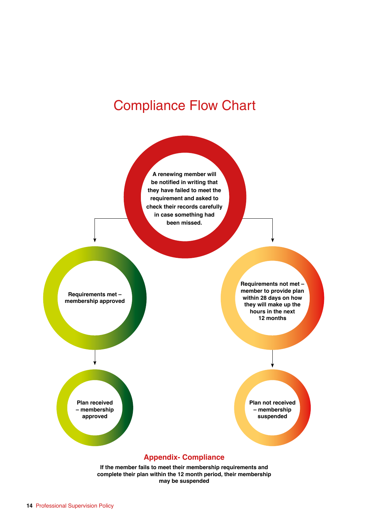## Compliance Flow Chart



**If the member fails to meet their membership requirements and complete their plan within the 12 month period, their membership may be suspended**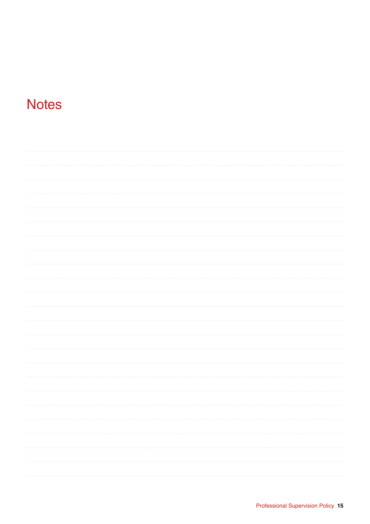## **Notes**